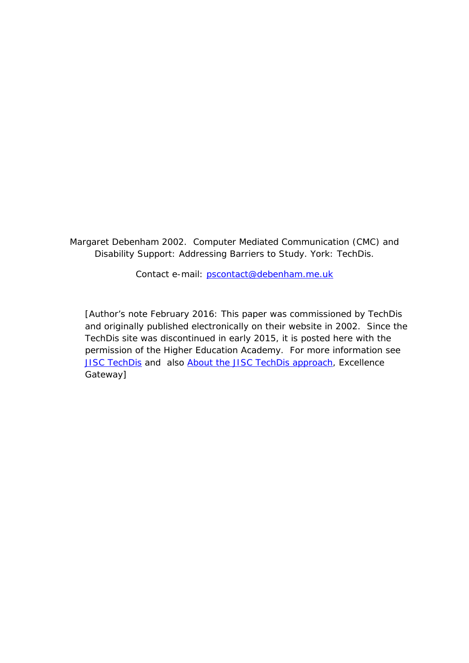Margaret Debenham 2002. Computer Mediated Communication (CMC) and Disability Support: Addressing Barriers to Study. York: TechDis.

Contact e-mail: [pscontact@debenham.me.uk](mailto:pscontact@debenham.me.uk)

[Author's note February 2016: This paper was commissioned by TechDis and originally published electronically on their website in 2002. Since the TechDis site was discontinued in early 2015, it is posted here with the permission of the Higher Education Academy. For more information see [JISC TechDis](https://www.jisc.ac.uk/website/legacy/techdis) and also [About the JISC TechDis approach,](http://toolkits.excellencegateway.org.uk/about-jisc-techdis-approach) Excellence Gateway]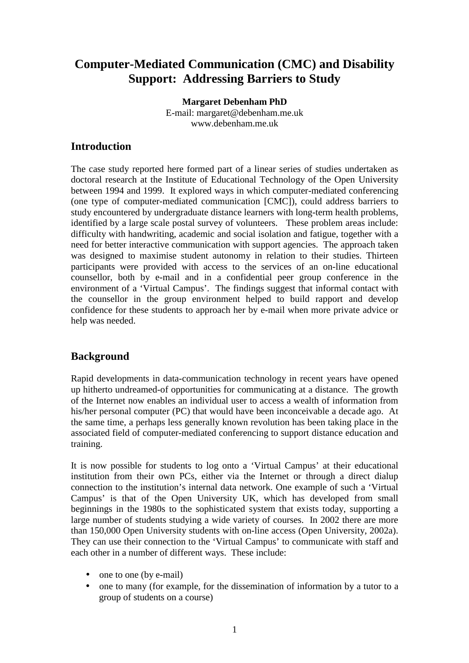# **Computer-Mediated Communication (CMC) and Disability Support: Addressing Barriers to Study**

**Margaret Debenham PhD**  E-mail: margaret@debenham.me.uk www.debenham.me.uk

## **Introduction**

The case study reported here formed part of a linear series of studies undertaken as doctoral research at the Institute of Educational Technology of the Open University between 1994 and 1999. It explored ways in which computer-mediated conferencing (one type of computer-mediated communication [CMC]), could address barriers to study encountered by undergraduate distance learners with long-term health problems, identified by a large scale postal survey of volunteers. These problem areas include: difficulty with handwriting, academic and social isolation and fatigue, together with a need for better interactive communication with support agencies. The approach taken was designed to maximise student autonomy in relation to their studies. Thirteen participants were provided with access to the services of an on-line educational counsellor, both by e-mail and in a confidential peer group conference in the environment of a 'Virtual Campus'. The findings suggest that informal contact with the counsellor in the group environment helped to build rapport and develop confidence for these students to approach her by e-mail when more private advice or help was needed.

# **Background**

Rapid developments in data-communication technology in recent years have opened up hitherto undreamed-of opportunities for communicating at a distance. The growth of the Internet now enables an individual user to access a wealth of information from his/her personal computer (PC) that would have been inconceivable a decade ago. At the same time, a perhaps less generally known revolution has been taking place in the associated field of computer-mediated conferencing to support distance education and training.

It is now possible for students to log onto a 'Virtual Campus' at their educational institution from their own PCs, either via the Internet or through a direct dialup connection to the institution's internal data network. One example of such a 'Virtual Campus' is that of the Open University UK, which has developed from small beginnings in the 1980s to the sophisticated system that exists today, supporting a large number of students studying a wide variety of courses. In 2002 there are more than 150,000 Open University students with on-line access (Open University, 2002a). They can use their connection to the 'Virtual Campus' to communicate with staff and each other in a number of different ways. These include:

- one to one (by e-mail)
- one to many (for example, for the dissemination of information by a tutor to a group of students on a course)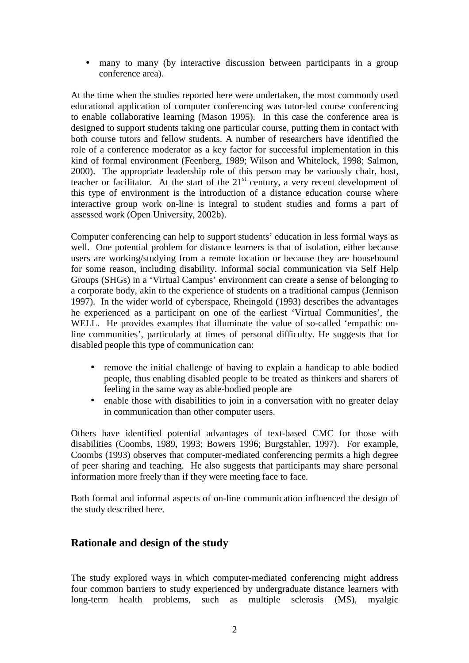• many to many (by interactive discussion between participants in a group conference area).

At the time when the studies reported here were undertaken, the most commonly used educational application of computer conferencing was tutor-led course conferencing to enable collaborative learning (Mason 1995). In this case the conference area is designed to support students taking one particular course, putting them in contact with both course tutors and fellow students. A number of researchers have identified the role of a conference moderator as a key factor for successful implementation in this kind of formal environment (Feenberg, 1989; Wilson and Whitelock, 1998; Salmon, 2000). The appropriate leadership role of this person may be variously chair, host, teacher or facilitator. At the start of the  $21<sup>st</sup>$  century, a very recent development of this type of environment is the introduction of a distance education course where interactive group work on-line is integral to student studies and forms a part of assessed work (Open University, 2002b).

Computer conferencing can help to support students' education in less formal ways as well. One potential problem for distance learners is that of isolation, either because users are working/studying from a remote location or because they are housebound for some reason, including disability. Informal social communication via Self Help Groups (SHGs) in a 'Virtual Campus' environment can create a sense of belonging to a corporate body, akin to the experience of students on a traditional campus (Jennison 1997). In the wider world of cyberspace, Rheingold (1993) describes the advantages he experienced as a participant on one of the earliest 'Virtual Communities', the WELL. He provides examples that illuminate the value of so-called 'empathic online communities', particularly at times of personal difficulty. He suggests that for disabled people this type of communication can:

- remove the initial challenge of having to explain a handicap to able bodied people, thus enabling disabled people to be treated as thinkers and sharers of feeling in the same way as able-bodied people are
- enable those with disabilities to join in a conversation with no greater delay in communication than other computer users.

Others have identified potential advantages of text-based CMC for those with disabilities (Coombs, 1989, 1993; Bowers 1996; Burgstahler, 1997). For example, Coombs (1993) observes that computer-mediated conferencing permits a high degree of peer sharing and teaching. He also suggests that participants may share personal information more freely than if they were meeting face to face.

Both formal and informal aspects of on-line communication influenced the design of the study described here.

## **Rationale and design of the study**

The study explored ways in which computer-mediated conferencing might address four common barriers to study experienced by undergraduate distance learners with long-term health problems, such as multiple sclerosis (MS), myalgic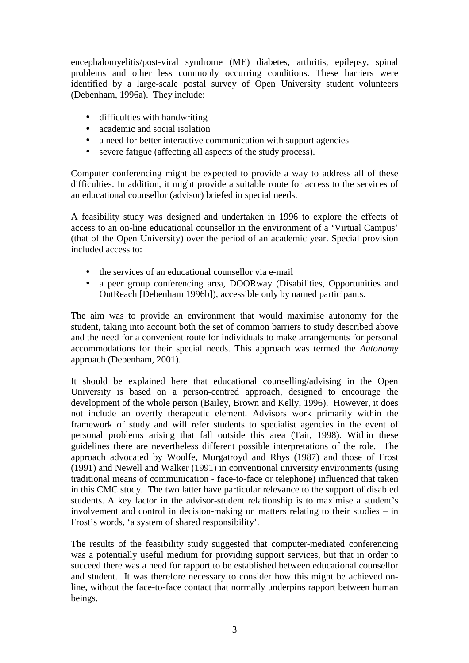encephalomyelitis/post-viral syndrome (ME) diabetes, arthritis, epilepsy, spinal problems and other less commonly occurring conditions. These barriers were identified by a large-scale postal survey of Open University student volunteers (Debenham, 1996a). They include:

- difficulties with handwriting
- academic and social isolation
- a need for better interactive communication with support agencies
- severe fatigue (affecting all aspects of the study process).

Computer conferencing might be expected to provide a way to address all of these difficulties. In addition, it might provide a suitable route for access to the services of an educational counsellor (advisor) briefed in special needs.

A feasibility study was designed and undertaken in 1996 to explore the effects of access to an on-line educational counsellor in the environment of a 'Virtual Campus' (that of the Open University) over the period of an academic year. Special provision included access to:

- the services of an educational counsellor via e-mail
- a peer group conferencing area, DOORway (Disabilities, Opportunities and OutReach [Debenham 1996b]), accessible only by named participants.

The aim was to provide an environment that would maximise autonomy for the student, taking into account both the set of common barriers to study described above and the need for a convenient route for individuals to make arrangements for personal accommodations for their special needs. This approach was termed the *Autonomy* approach (Debenham, 2001).

It should be explained here that educational counselling/advising in the Open University is based on a person-centred approach, designed to encourage the development of the whole person (Bailey, Brown and Kelly, 1996). However, it does not include an overtly therapeutic element. Advisors work primarily within the framework of study and will refer students to specialist agencies in the event of personal problems arising that fall outside this area (Tait, 1998). Within these guidelines there are nevertheless different possible interpretations of the role. The approach advocated by Woolfe, Murgatroyd and Rhys (1987) and those of Frost (1991) and Newell and Walker (1991) in conventional university environments (using traditional means of communication - face-to-face or telephone) influenced that taken in this CMC study. The two latter have particular relevance to the support of disabled students. A key factor in the advisor-student relationship is to maximise a student's involvement and control in decision-making on matters relating to their studies – in Frost's words, 'a system of shared responsibility'.

The results of the feasibility study suggested that computer-mediated conferencing was a potentially useful medium for providing support services, but that in order to succeed there was a need for rapport to be established between educational counsellor and student. It was therefore necessary to consider how this might be achieved online, without the face-to-face contact that normally underpins rapport between human beings.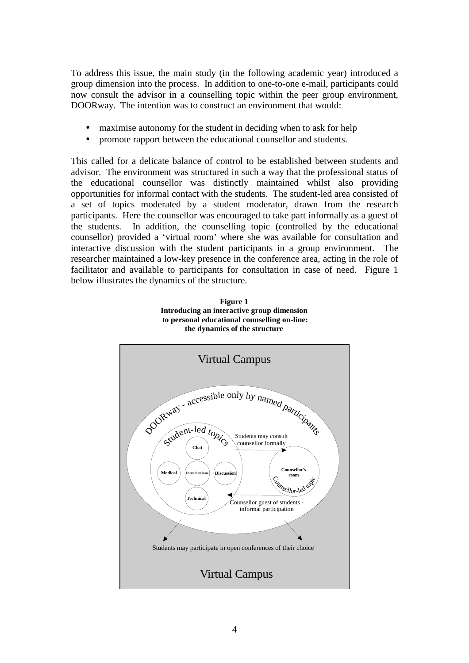To address this issue, the main study (in the following academic year) introduced a group dimension into the process. In addition to one-to-one e-mail, participants could now consult the advisor in a counselling topic within the peer group environment, DOORway. The intention was to construct an environment that would:

- maximise autonomy for the student in deciding when to ask for help
- promote rapport between the educational counsellor and students.

This called for a delicate balance of control to be established between students and advisor. The environment was structured in such a way that the professional status of the educational counsellor was distinctly maintained whilst also providing opportunities for informal contact with the students. The student-led area consisted of a set of topics moderated by a student moderator, drawn from the research participants. Here the counsellor was encouraged to take part informally as a guest of the students. In addition, the counselling topic (controlled by the educational counsellor) provided a 'virtual room' where she was available for consultation and interactive discussion with the student participants in a group environment. The researcher maintained a low-key presence in the conference area, acting in the role of facilitator and available to participants for consultation in case of need. Figure 1 below illustrates the dynamics of the structure.



**Figure 1 Introducing an interactive group dimension**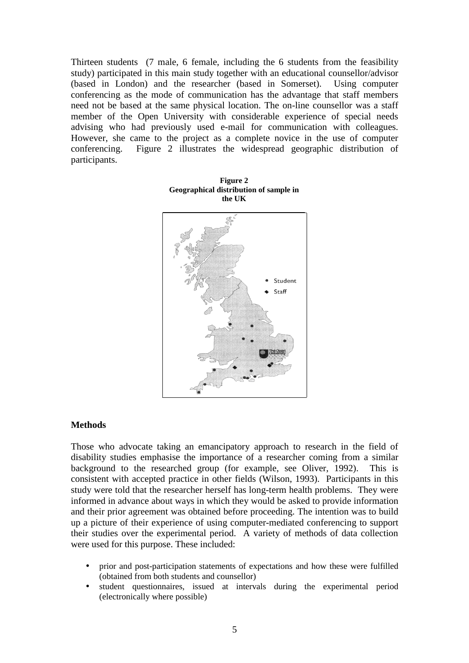Thirteen students (7 male, 6 female, including the 6 students from the feasibility study) participated in this main study together with an educational counsellor/advisor (based in London) and the researcher (based in Somerset). Using computer conferencing as the mode of communication has the advantage that staff members need not be based at the same physical location. The on-line counsellor was a staff member of the Open University with considerable experience of special needs advising who had previously used e-mail for communication with colleagues. However, she came to the project as a complete novice in the use of computer conferencing. Figure 2 illustrates the widespread geographic distribution of participants.



**Figure 2 Geographical distribution of sample in the UK** 

## **Methods**

Those who advocate taking an emancipatory approach to research in the field of disability studies emphasise the importance of a researcher coming from a similar background to the researched group (for example, see Oliver, 1992). This is consistent with accepted practice in other fields (Wilson, 1993). Participants in this study were told that the researcher herself has long-term health problems. They were informed in advance about ways in which they would be asked to provide information and their prior agreement was obtained before proceeding. The intention was to build up a picture of their experience of using computer-mediated conferencing to support their studies over the experimental period. A variety of methods of data collection were used for this purpose. These included:

- prior and post-participation statements of expectations and how these were fulfilled (obtained from both students and counsellor)
- student questionnaires, issued at intervals during the experimental period (electronically where possible)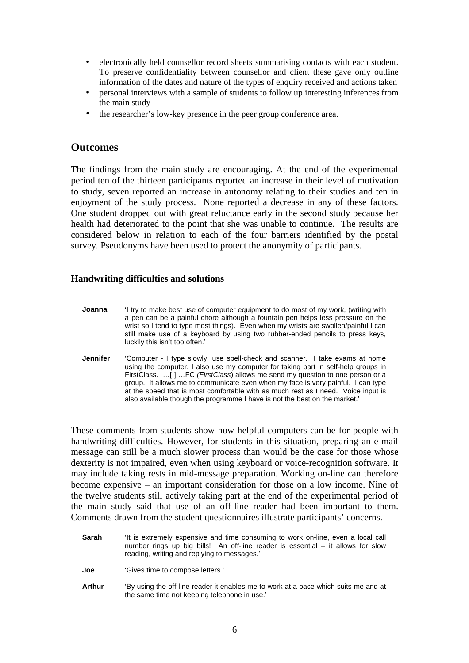- electronically held counsellor record sheets summarising contacts with each student. To preserve confidentiality between counsellor and client these gave only outline information of the dates and nature of the types of enquiry received and actions taken
- personal interviews with a sample of students to follow up interesting inferences from the main study
- the researcher's low-key presence in the peer group conference area.

## **Outcomes**

The findings from the main study are encouraging. At the end of the experimental period ten of the thirteen participants reported an increase in their level of motivation to study, seven reported an increase in autonomy relating to their studies and ten in enjoyment of the study process. None reported a decrease in any of these factors. One student dropped out with great reluctance early in the second study because her health had deteriorated to the point that she was unable to continue. The results are considered below in relation to each of the four barriers identified by the postal survey. Pseudonyms have been used to protect the anonymity of participants.

### **Handwriting difficulties and solutions**

- **Joanna** 'I try to make best use of computer equipment to do most of my work, (writing with a pen can be a painful chore although a fountain pen helps less pressure on the wrist so I tend to type most things). Even when my wrists are swollen/painful I can still make use of a keyboard by using two rubber-ended pencils to press keys, luckily this isn't too often.'
- **Jennifer** 'Computer I type slowly, use spell-check and scanner. I take exams at home using the computer. I also use my computer for taking part in self-help groups in FirstClass. …[ ] …FC *(FirstClass*) allows me send my question to one person or a group. It allows me to communicate even when my face is very painful. I can type at the speed that is most comfortable with as much rest as I need. Voice input is also available though the programme I have is not the best on the market.'

These comments from students show how helpful computers can be for people with handwriting difficulties. However, for students in this situation, preparing an e-mail message can still be a much slower process than would be the case for those whose dexterity is not impaired, even when using keyboard or voice-recognition software. It may include taking rests in mid-message preparation. Working on-line can therefore become expensive – an important consideration for those on a low income. Nine of the twelve students still actively taking part at the end of the experimental period of the main study said that use of an off-line reader had been important to them. Comments drawn from the student questionnaires illustrate participants' concerns.

- **Sarah** 'It is extremely expensive and time consuming to work on-line, even a local call number rings up big bills! An off-line reader is essential – it allows for slow reading, writing and replying to messages.'
- **Joe** 'Gives time to compose letters.'
- **Arthur** 'By using the off-line reader it enables me to work at a pace which suits me and at the same time not keeping telephone in use.'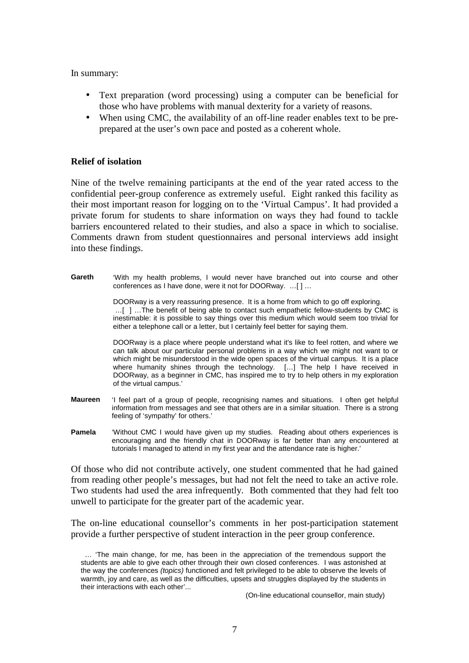In summary:

- Text preparation (word processing) using a computer can be beneficial for those who have problems with manual dexterity for a variety of reasons.
- When using CMC, the availability of an off-line reader enables text to be preprepared at the user's own pace and posted as a coherent whole.

#### **Relief of isolation**

Nine of the twelve remaining participants at the end of the year rated access to the confidential peer-group conference as extremely useful. Eight ranked this facility as their most important reason for logging on to the 'Virtual Campus'. It had provided a private forum for students to share information on ways they had found to tackle barriers encountered related to their studies, and also a space in which to socialise. Comments drawn from student questionnaires and personal interviews add insight into these findings.

**Gareth** 'With my health problems, I would never have branched out into course and other conferences as I have done, were it not for DOORway. …[ ] …

> DOORway is a very reassuring presence. It is a home from which to go off exploring. …[ ] …The benefit of being able to contact such empathetic fellow-students by CMC is inestimable: it is possible to say things over this medium which would seem too trivial for either a telephone call or a letter, but I certainly feel better for saying them.

> DOORway is a place where people understand what it's like to feel rotten, and where we can talk about our particular personal problems in a way which we might not want to or which might be misunderstood in the wide open spaces of the virtual campus. It is a place where humanity shines through the technology. [...] The help I have received in DOORway, as a beginner in CMC, has inspired me to try to help others in my exploration of the virtual campus.'

- **Maureen** 'I feel part of a group of people, recognising names and situations. I often get helpful information from messages and see that others are in a similar situation. There is a strong feeling of 'sympathy' for others.'
- **Pamela** 'Without CMC I would have given up my studies. Reading about others experiences is encouraging and the friendly chat in DOORway is far better than any encountered at tutorials I managed to attend in my first year and the attendance rate is higher.'

Of those who did not contribute actively, one student commented that he had gained from reading other people's messages, but had not felt the need to take an active role. Two students had used the area infrequently. Both commented that they had felt too unwell to participate for the greater part of the academic year.

The on-line educational counsellor's comments in her post-participation statement provide a further perspective of student interaction in the peer group conference.

(On-line educational counsellor, main study)

 <sup>… &#</sup>x27;The main change, for me, has been in the appreciation of the tremendous support the students are able to give each other through their own closed conferences. I was astonished at the way the conferences *(topics)* functioned and felt privileged to be able to observe the levels of warmth, joy and care, as well as the difficulties, upsets and struggles displayed by the students in their interactions with each other'...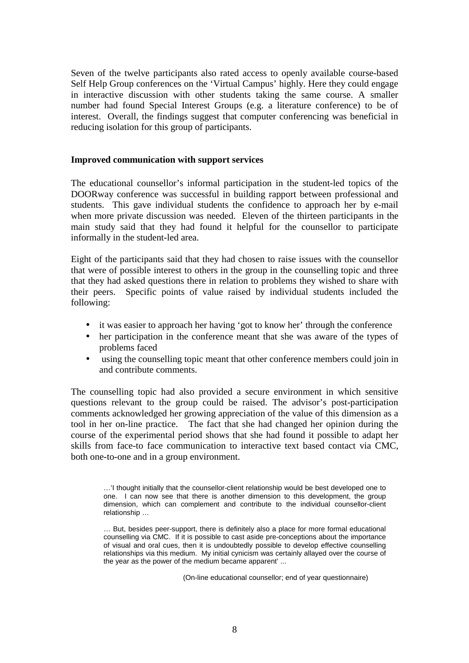Seven of the twelve participants also rated access to openly available course-based Self Help Group conferences on the 'Virtual Campus' highly. Here they could engage in interactive discussion with other students taking the same course. A smaller number had found Special Interest Groups (e.g. a literature conference) to be of interest. Overall, the findings suggest that computer conferencing was beneficial in reducing isolation for this group of participants.

## **Improved communication with support services**

The educational counsellor's informal participation in the student-led topics of the DOORway conference was successful in building rapport between professional and students. This gave individual students the confidence to approach her by e-mail when more private discussion was needed. Eleven of the thirteen participants in the main study said that they had found it helpful for the counsellor to participate informally in the student-led area.

Eight of the participants said that they had chosen to raise issues with the counsellor that were of possible interest to others in the group in the counselling topic and three that they had asked questions there in relation to problems they wished to share with their peers. Specific points of value raised by individual students included the following:

- it was easier to approach her having 'got to know her' through the conference
- her participation in the conference meant that she was aware of the types of problems faced
- using the counselling topic meant that other conference members could join in and contribute comments.

The counselling topic had also provided a secure environment in which sensitive questions relevant to the group could be raised. The advisor's post-participation comments acknowledged her growing appreciation of the value of this dimension as a tool in her on-line practice. The fact that she had changed her opinion during the course of the experimental period shows that she had found it possible to adapt her skills from face-to face communication to interactive text based contact via CMC, both one-to-one and in a group environment.

…'I thought initially that the counsellor-client relationship would be best developed one to one. I can now see that there is another dimension to this development, the group dimension, which can complement and contribute to the individual counsellor-client relationship …

… But, besides peer-support, there is definitely also a place for more formal educational counselling via CMC. If it is possible to cast aside pre-conceptions about the importance of visual and oral cues, then it is undoubtedly possible to develop effective counselling relationships via this medium. My initial cynicism was certainly allayed over the course of the year as the power of the medium became apparent' ...

(On-line educational counsellor; end of year questionnaire)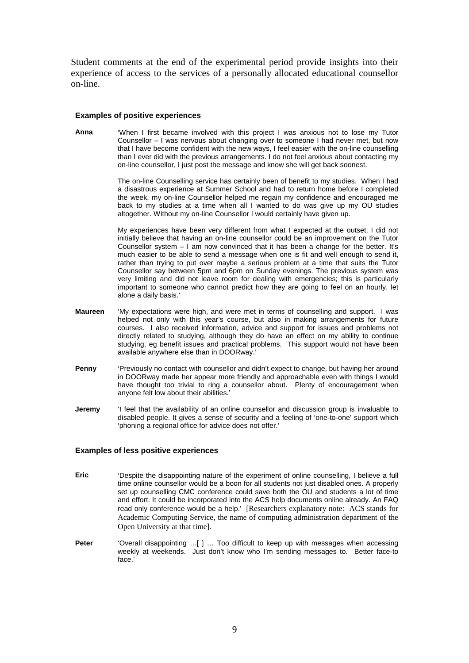Student comments at the end of the experimental period provide insights into their experience of access to the services of a personally allocated educational counsellor on-line.

#### **Examples of positive experiences**

**Anna** 'When I first became involved with this project I was anxious not to lose my Tutor Counsellor – I was nervous about changing over to someone I had never met, but now that I have become confident with the new ways, I feel easier with the on-line counselling than I ever did with the previous arrangements. I do not feel anxious about contacting my on-line counsellor, I just post the message and know she will get back soonest.

> The on-line Counselling service has certainly been of benefit to my studies. When I had a disastrous experience at Summer School and had to return home before I completed the week, my on-line Counsellor helped me regain my confidence and encouraged me back to my studies at a time when all I wanted to do was give up my OU studies altogether. Without my on-line Counsellor I would certainly have given up.

> My experiences have been very different from what I expected at the outset. I did not initially believe that having an on-line counsellor could be an improvement on the Tutor Counsellor system – I am now convinced that it has been a change for the better. It's much easier to be able to send a message when one is fit and well enough to send it, rather than trying to put over maybe a serious problem at a time that suits the Tutor Counsellor say between 5pm and 6pm on Sunday evenings. The previous system was very limiting and did not leave room for dealing with emergencies; this is particularly important to someone who cannot predict how they are going to feel on an hourly, let alone a daily basis.'

- **Maureen** 'My expectations were high, and were met in terms of counselling and support. I was helped not only with this year's course, but also in making arrangements for future courses. I also received information, advice and support for issues and problems not directly related to studying, although they do have an effect on my ability to continue studying, eg benefit issues and practical problems. This support would not have been available anywhere else than in DOORway.'
- **Penny** 'Previously no contact with counsellor and didn't expect to change, but having her around in DOORway made her appear more friendly and approachable even with things I would have thought too trivial to ring a counsellor about. Plenty of encouragement when anyone felt low about their abilities.'
- **Jeremy** 'I feel that the availability of an online counsellor and discussion group is invaluable to disabled people. It gives a sense of security and a feeling of 'one-to-one' support which 'phoning a regional office for advice does not offer.'

#### **Examples of less positive experiences**

- **Eric** 'Despite the disappointing nature of the experiment of online counselling, I believe a full time online counsellor would be a boon for all students not just disabled ones. A properly set up counselling CMC conference could save both the OU and students a lot of time and effort. It could be incorporated into the ACS help documents online already. An FAQ read only conference would be a help.' [Researchers explanatory note: ACS stands for Academic Computing Service, the name of computing administration department of the Open University at that time].
- Peter 'Overall disappointing ...[ ] ... Too difficult to keep up with messages when accessing weekly at weekends. Just don't know who I'm sending messages to. Better face-to face.'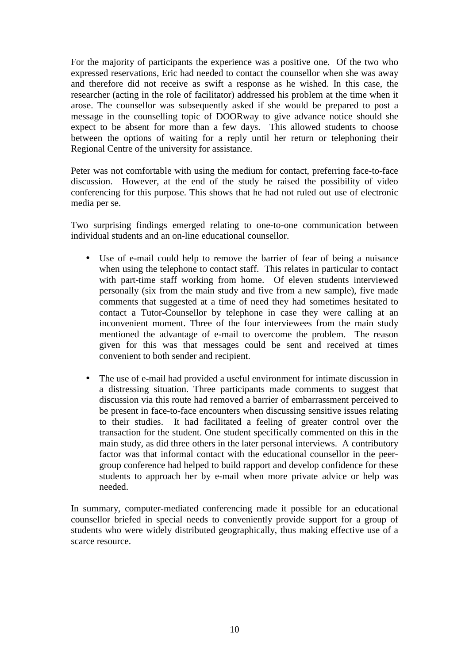For the majority of participants the experience was a positive one. Of the two who expressed reservations, Eric had needed to contact the counsellor when she was away and therefore did not receive as swift a response as he wished. In this case, the researcher (acting in the role of facilitator) addressed his problem at the time when it arose. The counsellor was subsequently asked if she would be prepared to post a message in the counselling topic of DOORway to give advance notice should she expect to be absent for more than a few days. This allowed students to choose between the options of waiting for a reply until her return or telephoning their Regional Centre of the university for assistance.

Peter was not comfortable with using the medium for contact, preferring face-to-face discussion. However, at the end of the study he raised the possibility of video conferencing for this purpose. This shows that he had not ruled out use of electronic media per se.

Two surprising findings emerged relating to one-to-one communication between individual students and an on-line educational counsellor.

- Use of e-mail could help to remove the barrier of fear of being a nuisance when using the telephone to contact staff. This relates in particular to contact with part-time staff working from home. Of eleven students interviewed personally (six from the main study and five from a new sample), five made comments that suggested at a time of need they had sometimes hesitated to contact a Tutor-Counsellor by telephone in case they were calling at an inconvenient moment. Three of the four interviewees from the main study mentioned the advantage of e-mail to overcome the problem. The reason given for this was that messages could be sent and received at times convenient to both sender and recipient.
- The use of e-mail had provided a useful environment for intimate discussion in a distressing situation. Three participants made comments to suggest that discussion via this route had removed a barrier of embarrassment perceived to be present in face-to-face encounters when discussing sensitive issues relating to their studies. It had facilitated a feeling of greater control over the transaction for the student. One student specifically commented on this in the main study, as did three others in the later personal interviews. A contributory factor was that informal contact with the educational counsellor in the peergroup conference had helped to build rapport and develop confidence for these students to approach her by e-mail when more private advice or help was needed.

In summary, computer-mediated conferencing made it possible for an educational counsellor briefed in special needs to conveniently provide support for a group of students who were widely distributed geographically, thus making effective use of a scarce resource.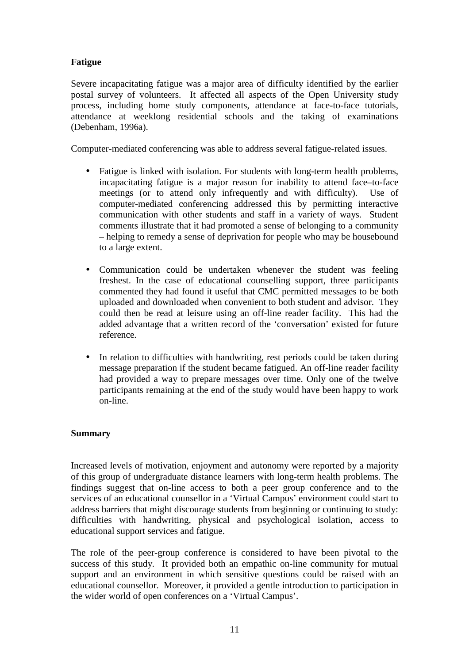## **Fatigue**

Severe incapacitating fatigue was a major area of difficulty identified by the earlier postal survey of volunteers. It affected all aspects of the Open University study process, including home study components, attendance at face-to-face tutorials, attendance at weeklong residential schools and the taking of examinations (Debenham, 1996a).

Computer-mediated conferencing was able to address several fatigue-related issues.

- Fatigue is linked with isolation. For students with long-term health problems, incapacitating fatigue is a major reason for inability to attend face–to-face meetings (or to attend only infrequently and with difficulty). Use of computer-mediated conferencing addressed this by permitting interactive communication with other students and staff in a variety of ways. Student comments illustrate that it had promoted a sense of belonging to a community – helping to remedy a sense of deprivation for people who may be housebound to a large extent.
- Communication could be undertaken whenever the student was feeling freshest. In the case of educational counselling support, three participants commented they had found it useful that CMC permitted messages to be both uploaded and downloaded when convenient to both student and advisor. They could then be read at leisure using an off-line reader facility. This had the added advantage that a written record of the 'conversation' existed for future reference.
- In relation to difficulties with handwriting, rest periods could be taken during message preparation if the student became fatigued. An off-line reader facility had provided a way to prepare messages over time. Only one of the twelve participants remaining at the end of the study would have been happy to work on-line.

## **Summary**

Increased levels of motivation, enjoyment and autonomy were reported by a majority of this group of undergraduate distance learners with long-term health problems. The findings suggest that on-line access to both a peer group conference and to the services of an educational counsellor in a 'Virtual Campus' environment could start to address barriers that might discourage students from beginning or continuing to study: difficulties with handwriting, physical and psychological isolation, access to educational support services and fatigue.

The role of the peer-group conference is considered to have been pivotal to the success of this study. It provided both an empathic on-line community for mutual support and an environment in which sensitive questions could be raised with an educational counsellor. Moreover, it provided a gentle introduction to participation in the wider world of open conferences on a 'Virtual Campus'.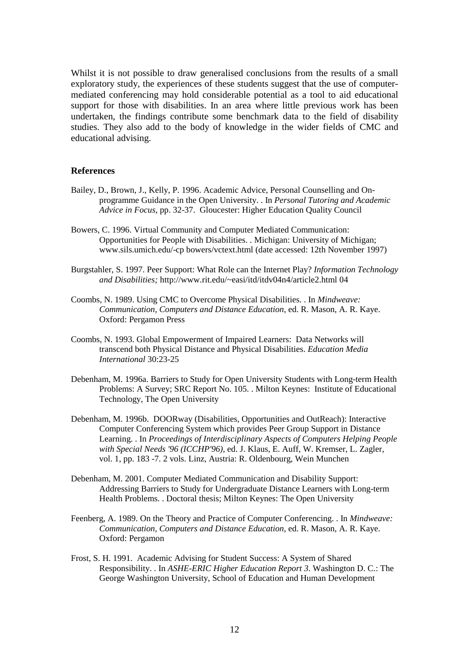Whilst it is not possible to draw generalised conclusions from the results of a small exploratory study, the experiences of these students suggest that the use of computermediated conferencing may hold considerable potential as a tool to aid educational support for those with disabilities. In an area where little previous work has been undertaken, the findings contribute some benchmark data to the field of disability studies. They also add to the body of knowledge in the wider fields of CMC and educational advising.

### **References**

- Bailey, D., Brown, J., Kelly, P. 1996. Academic Advice, Personal Counselling and Onprogramme Guidance in the Open University. . In *Personal Tutoring and Academic Advice in Focus*, pp. 32-37. Gloucester: Higher Education Quality Council
- Bowers, C. 1996. Virtual Community and Computer Mediated Communication: Opportunities for People with Disabilities. . Michigan: University of Michigan; www.sils.umich.edu/-cp bowers/vctext.html (date accessed: 12th November 1997)
- Burgstahler, S. 1997. Peer Support: What Role can the Internet Play? *Information Technology and Disabilities;* http://www.rit.edu/~easi/itd/itdv04n4/article2.html 04
- Coombs, N. 1989. Using CMC to Overcome Physical Disabilities. . In *Mindweave: Communication, Computers and Distance Education*, ed. R. Mason, A. R. Kaye. Oxford: Pergamon Press
- Coombs, N. 1993. Global Empowerment of Impaired Learners: Data Networks will transcend both Physical Distance and Physical Disabilities. *Education Media International* 30:23-25
- Debenham, M. 1996a. Barriers to Study for Open University Students with Long-term Health Problems: A Survey; SRC Report No. 105. . Milton Keynes: Institute of Educational Technology, The Open University
- Debenham, M. 1996b. DOORway (Disabilities, Opportunities and OutReach): Interactive Computer Conferencing System which provides Peer Group Support in Distance Learning. . In *Proceedings of Interdisciplinary Aspects of Computers Helping People with Special Needs '96 (ICCHP'96)*, ed. J. Klaus, E. Auff, W. Kremser, L. Zagler, vol. 1, pp. 183 -7. 2 vols. Linz, Austria: R. Oldenbourg, Wein Munchen
- Debenham, M. 2001. Computer Mediated Communication and Disability Support: Addressing Barriers to Study for Undergraduate Distance Learners with Long-term Health Problems. . Doctoral thesis; Milton Keynes: The Open University
- Feenberg, A. 1989. On the Theory and Practice of Computer Conferencing. . In *Mindweave: Communication, Computers and Distance Education*, ed. R. Mason, A. R. Kaye. Oxford: Pergamon
- Frost, S. H. 1991. Academic Advising for Student Success: A System of Shared Responsibility. . In *ASHE-ERIC Higher Education Report 3*. Washington D. C.: The George Washington University, School of Education and Human Development